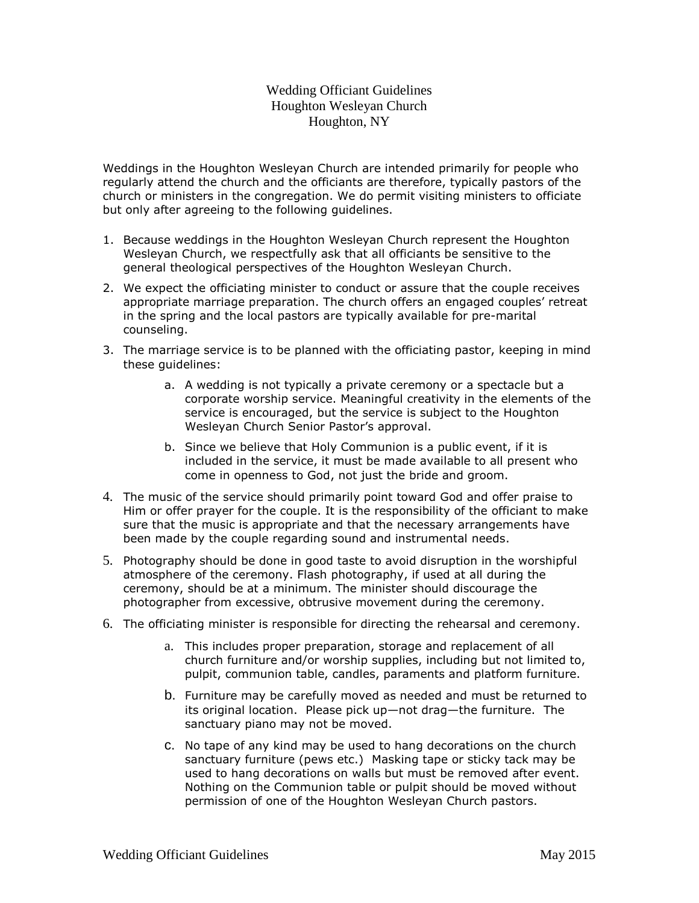## Wedding Officiant Guidelines Houghton Wesleyan Church Houghton, NY

Weddings in the Houghton Wesleyan Church are intended primarily for people who regularly attend the church and the officiants are therefore, typically pastors of the church or ministers in the congregation. We do permit visiting ministers to officiate but only after agreeing to the following guidelines.

- 1. Because weddings in the Houghton Wesleyan Church represent the Houghton Wesleyan Church, we respectfully ask that all officiants be sensitive to the general theological perspectives of the Houghton Wesleyan Church.
- 2. We expect the officiating minister to conduct or assure that the couple receives appropriate marriage preparation. The church offers an engaged couples' retreat in the spring and the local pastors are typically available for pre-marital counseling.
- 3. The marriage service is to be planned with the officiating pastor, keeping in mind these guidelines:
	- a. A wedding is not typically a private ceremony or a spectacle but a corporate worship service. Meaningful creativity in the elements of the service is encouraged, but the service is subject to the Houghton Wesleyan Church Senior Pastor's approval.
	- b. Since we believe that Holy Communion is a public event, if it is included in the service, it must be made available to all present who come in openness to God, not just the bride and groom.
- 4. The music of the service should primarily point toward God and offer praise to Him or offer prayer for the couple. It is the responsibility of the officiant to make sure that the music is appropriate and that the necessary arrangements have been made by the couple regarding sound and instrumental needs.
- 5. Photography should be done in good taste to avoid disruption in the worshipful atmosphere of the ceremony. Flash photography, if used at all during the ceremony, should be at a minimum. The minister should discourage the photographer from excessive, obtrusive movement during the ceremony.
- 6. The officiating minister is responsible for directing the rehearsal and ceremony.
	- a. This includes proper preparation, storage and replacement of all church furniture and/or worship supplies, including but not limited to, pulpit, communion table, candles, paraments and platform furniture.
	- b. Furniture may be carefully moved as needed and must be returned to its original location. Please pick up—not drag—the furniture. The sanctuary piano may not be moved.
	- c. No tape of any kind may be used to hang decorations on the church sanctuary furniture (pews etc.) Masking tape or sticky tack may be used to hang decorations on walls but must be removed after event. Nothing on the Communion table or pulpit should be moved without permission of one of the Houghton Wesleyan Church pastors.